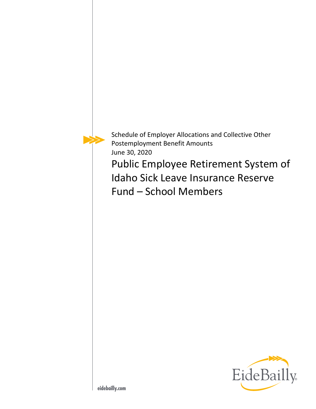

Schedule of Employer Allocations and Collective Other Postemployment Benefit Amounts June 30, 2020

Public Employee Retirement System of Idaho Sick Leave Insurance Reserve Fund – School Members

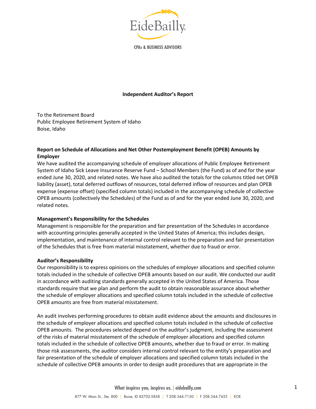

**CPAs & BUSINESS ADVISORS** 

#### **Independent Auditor's Report**

To the Retirement Board Public Employee Retirement System of Idaho Boise, Idaho

# **Report on Schedule of Allocations and Net Other Postemployment Benefit (OPEB) Amounts by Employer**

We have audited the accompanying schedule of employer allocations of Public Employee Retirement System of Idaho Sick Leave Insurance Reserve Fund – School Members (the Fund) as of and for the year ended June 30, 2020, and related notes. We have also audited the totals for the columns titled net OPEB liability (asset), total deferred outflows of resources, total deferred inflow of resources and plan OPEB expense (expense offset) (specified column totals) included in the accompanying schedule of collective OPEB amounts (collectively the Schedules) of the Fund as of and for the year ended June 30, 2020, and related notes.

#### **Management's Responsibility for the Schedules**

Management is responsible for the preparation and fair presentation of the Schedules in accordance with accounting principles generally accepted in the United States of America; this includes design, implementation, and maintenance of internal control relevant to the preparation and fair presentation of the Schedules that is free from material misstatement, whether due to fraud or error.

#### **Auditor's Responsibility**

Our responsibility is to express opinions on the schedules of employer allocations and specified column totals included in the schedule of collective OPEB amounts based on our audit. We conducted our audit in accordance with auditing standards generally accepted in the United States of America. Those standards require that we plan and perform the audit to obtain reasonable assurance about whether the schedule of employer allocations and specified column totals included in the schedule of collective OPEB amounts are free from material misstatement.

An audit involves performing procedures to obtain audit evidence about the amounts and disclosures in the schedule of employer allocations and specified column totals included in the schedule of collective OPEB amounts. The procedures selected depend on the auditor's judgment, including the assessment of the risks of material misstatement of the schedule of employer allocations and specified column totals included in the schedule of collective OPEB amounts, whether due to fraud or error. In making those risk assessments, the auditor considers internal control relevant to the entity's preparation and fair presentation of the schedule of employer allocations and specified column totals included in the schedule of collective OPEB amounts in order to design audit procedures that are appropriate in the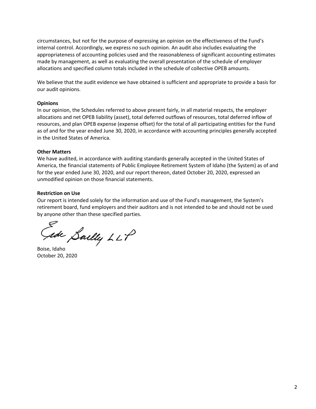circumstances, but not for the purpose of expressing an opinion on the effectiveness of the Fund's internal control. Accordingly, we express no such opinion. An audit also includes evaluating the appropriateness of accounting policies used and the reasonableness of significant accounting estimates made by management, as well as evaluating the overall presentation of the schedule of employer allocations and specified column totals included in the schedule of collective OPEB amounts.

We believe that the audit evidence we have obtained is sufficient and appropriate to provide a basis for our audit opinions.

#### **Opinions**

In our opinion, the Schedules referred to above present fairly, in all material respects, the employer allocations and net OPEB liability (asset), total deferred outflows of resources, total deferred inflow of resources, and plan OPEB expense (expense offset) for the total of all participating entities for the Fund as of and for the year ended June 30, 2020, in accordance with accounting principles generally accepted in the United States of America.

#### **Other Matters**

We have audited, in accordance with auditing standards generally accepted in the United States of America, the financial statements of Public Employee Retirement System of Idaho (the System) as of and for the year ended June 30, 2020, and our report thereon, dated October 20, 2020, expressed an unmodified opinion on those financial statements.

# **Restriction on Use**

Our report is intended solely for the information and use of the Fund's management, the System's retirement board, fund employers and their auditors and is not intended to be and should not be used by anyone other than these specified parties.

sde Sailly LLP

Boise, Idaho October 20, 2020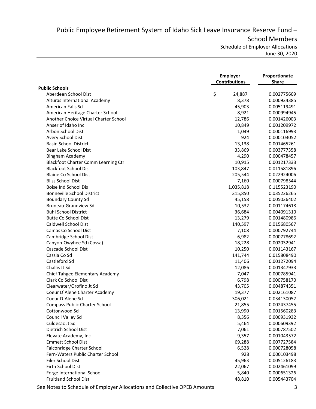Public Employee Retirement System of Idaho Sick Leave Insurance Reserve Fund – School Members Schedule of Employer Allocations

June 30, 2020

|                                       | <b>Employer</b><br><b>Contributions</b> | Proportionate<br><b>Share</b> |
|---------------------------------------|-----------------------------------------|-------------------------------|
| <b>Public Schools</b>                 |                                         |                               |
| Aberdeen School Dist                  | \$<br>24,887                            | 0.002775609                   |
| Alturas International Academy         | 8,378                                   | 0.000934385                   |
| American Falls Sd                     | 45,903                                  | 0.005119491                   |
| American Heritage Charter School      | 8,921                                   | 0.000994945                   |
| Another Choice Virtual Charter School | 12,786                                  | 0.001426003                   |
| Anser of Idaho Inc                    | 10,849                                  | 0.001209972                   |
| Arbon School Dist                     | 1,049                                   | 0.000116993                   |
| Avery School Dist                     | 924                                     | 0.000103052                   |
| <b>Basin School District</b>          | 13,138                                  | 0.001465261                   |
| Bear Lake School Dist                 | 33,869                                  | 0.003777358                   |
| Bingham Academy                       | 4,290                                   | 0.000478457                   |
| Blackfoot Charter Comm Learning Ctr   | 10,915                                  | 0.001217333                   |
| <b>Blackfoot School Dis</b>           | 103,847                                 | 0.011581896                   |
| <b>Blaine Co School Dist</b>          | 205,544                                 | 0.022924006                   |
| <b>Bliss School Dist</b>              | 7,160                                   | 0.000798544                   |
| Boise Ind School Dis                  | 1,035,818                               | 0.115523190                   |
| <b>Bonneville School District</b>     | 315,850                                 | 0.035226265                   |
| <b>Boundary County Sd</b>             | 45,158                                  | 0.005036402                   |
| <b>Bruneau-Grandview Sd</b>           | 10,532                                  | 0.001174618                   |
| <b>Buhl School District</b>           | 36,684                                  | 0.004091310                   |
| <b>Butte Co School Dist</b>           | 13,279                                  | 0.001480986                   |
| Caldwell School Dist                  | 140,597                                 | 0.015680567                   |
| Camas Co School Dist                  | 7,108                                   | 0.000792744                   |
| Cambridge School Dist                 | 6,982                                   | 0.000778692                   |
| Canyon-Owyhee Sd (Cossa)              | 18,228                                  | 0.002032941                   |
| Cascade School Dist                   | 10,250                                  | 0.001143167                   |
| Cassia Co Sd                          | 141,744                                 | 0.015808490                   |
| Castleford Sd                         | 11,406                                  | 0.001272094                   |
| Challis Jt Sd                         | 12,086                                  | 0.001347933                   |
| Chief Tahgee Elementary Academy       | 7,047                                   | 0.000785941                   |
| Clark Co School Dist                  | 6,798                                   | 0.000758170                   |
| Clearwater/Orofino Jt Sd              | 43,705                                  | 0.004874351                   |
| Coeur D'Alene Charter Academy         | 19,377                                  | 0.002161087                   |
| Coeur D'Alene Sd                      | 306,021                                 | 0.034130052                   |
| Compass Public Charter School         | 21,855                                  | 0.002437455                   |
| Cottonwood Sd                         | 13,990                                  | 0.001560283                   |
| Council Valley Sd                     | 8,356                                   | 0.000931932                   |
| Culdesac Jt Sd                        | 5,464                                   | 0.000609392                   |
| Dietrich School Dist                  | 7,061                                   | 0.000787502                   |
| Elevate Academy, Inc                  | 9,357                                   | 0.001043572                   |
| <b>Emmett School Dist</b>             | 69,288                                  | 0.007727584                   |
| Falconridge Charter School            | 6,528                                   | 0.000728058                   |
| Fern-Waters Public Charter School     | 928                                     | 0.000103498                   |
| Filer School Dist                     | 45,963                                  | 0.005126183                   |
| Firth School Dist                     | 22,067                                  | 0.002461099                   |
| Forge International School            | 5,840                                   | 0.000651326                   |
| <b>Fruitland School Dist</b>          | 48,810                                  | 0.005443704                   |
|                                       |                                         |                               |

See Notes to Schedule of Employer Allocations and Collective OPEB Amounts 3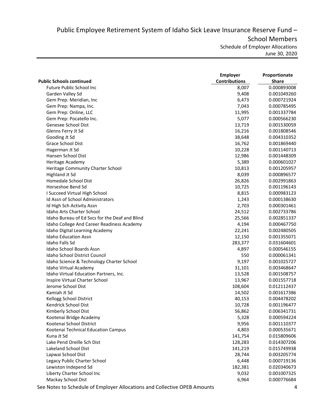Public Employee Retirement System of Idaho Sick Leave Insurance Reserve Fund – School Members Schedule of Employer Allocations June 30, 2020

|                                                | <b>Employer</b>      | Proportionate |
|------------------------------------------------|----------------------|---------------|
| <b>Public Schools continued</b>                | <b>Contributions</b> | <b>Share</b>  |
| Future Public School Inc                       | 8,007                | 0.000893008   |
| Garden Valley Sd                               | 9,408                | 0.001049260   |
| Gem Prep: Meridian, Inc                        | 6,473                | 0.000721924   |
| Gem Prep: Nampa, Inc.                          | 7,043                | 0.000785495   |
| Gem Prep: Online, LLC                          | 11,995               | 0.001337784   |
| Gem Prep: Pocatello Inc.                       | 5,077                | 0.000566230   |
| Genesee School Dist                            | 13,719               | 0.001530059   |
| Glenns Ferry Jt Sd                             | 16,216               | 0.001808546   |
| Gooding Jt Sd                                  | 38,648               | 0.004310352   |
| Grace School Dist                              | 16,762               | 0.001869440   |
| Hagerman Jt Sd                                 | 10,228               | 0.001140713   |
| Hansen School Dist                             | 12,986               | 0.001448309   |
| Heritage Academy                               | 5,389                | 0.000601027   |
| Heritage Community Charter School              | 10,813               | 0.001205957   |
| Highland Jt Sd                                 | 8,039                | 0.000896577   |
| Homedale School Dist                           | 26,826               | 0.002991863   |
| Horseshoe Bend Sd                              | 10,725               | 0.001196143   |
| I Succeed Virtual High School                  | 8,815                | 0.000983123   |
| Id Assn of School Administrators               | 1,243                | 0.000138630   |
| Id High Sch Activity Assn                      | 2,703                | 0.000301461   |
| Idaho Arts Charter School                      | 24,512               | 0.002733786   |
| Idaho Bureau of Ed Svcs for the Deaf and Blind | 25,566               | 0.002851337   |
| Idaho College And Career Readiness Academy     | 4,194                | 0.000467750   |
| Idaho Digital Learning Academy                 | 22,241               | 0.002480505   |
| <b>Idaho Education Assn</b>                    | 12,150               | 0.001355071   |
| Idaho Falls Sd                                 | 283,377              | 0.031604601   |
| Idaho School Boards Assn                       | 4,897                | 0.000546155   |
| Idaho School District Council                  | 550                  | 0.000061341   |
| Idaho Science & Technology Charter School      | 9,197                | 0.001025727   |
| Idaho Virtual Academy                          | 31,101               | 0.003468647   |
| Idaho Virtual Education Partners, Inc.         | 13,528               | 0.001508757   |
| Inspire Virtual Charter School                 | 13,967               | 0.001557718   |
| Jerome School Dist                             | 108,604              | 0.012112437   |
| Kamiah Jt Sd                                   | 14,502               | 0.001617386   |
| Kellogg School District                        | 40,153               | 0.004478202   |
| Kendrick School Dist                           | 10,728               | 0.001196477   |
| Kimberly School Dist                           | 56,862               | 0.006341731   |
| Kootenai Bridge Academy                        | 5,328                | 0.000594224   |
| Kootenai School District                       | 9,956                | 0.001110377   |
| Kootenai Technical Education Campus            | 4,803                | 0.000535671   |
| Kuna Jt Sd                                     | 141,754              | 0.015809606   |
| Lake Pend Oreille Sch Dist                     | 128,283              | 0.014307206   |
| Lakeland School Dist                           | 141,219              | 0.015749938   |
| Lapwai School Dist                             | 28,744               | 0.003205774   |
| Legacy Public Charter School                   | 6,448                | 0.000719136   |
| Lewiston Independ Sd                           | 182,381              | 0.020340673   |
| Liberty Charter School Inc                     | 9,032                | 0.001007325   |
| Mackay School Dist                             | 6,964                | 0.000776684   |
|                                                |                      |               |

See Notes to Schedule of Employer Allocations and Collective OPEB Amounts 4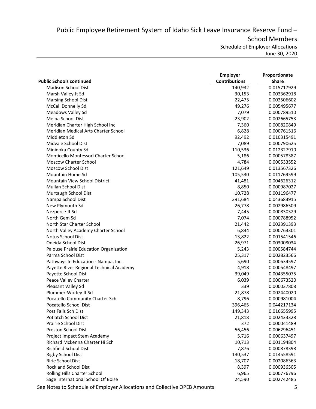Public Employee Retirement System of Idaho Sick Leave Insurance Reserve Fund – School Members Schedule of Employer Allocations

June 30, 2020

| <b>Public Schools continued</b>          | <b>Employer</b><br><b>Contributions</b> | Proportionate<br><b>Share</b> |
|------------------------------------------|-----------------------------------------|-------------------------------|
| Madison School Dist                      | 140,932                                 | 0.015717929                   |
| Marsh Valley Jt Sd                       | 30,153                                  | 0.003362918                   |
| <b>Marsing School Dist</b>               | 22,475                                  | 0.002506602                   |
| McCall Donnelly Sd                       | 49,276                                  | 0.005495677                   |
| Meadows Valley Sd                        | 7,079                                   | 0.000789510                   |
| Melba School Dist                        | 23,902                                  | 0.002665753                   |
| Meridian Charter High School Inc         | 7,360                                   | 0.000820849                   |
| Meridian Medical Arts Charter School     | 6,828                                   | 0.000761516                   |
| Middleton Sd                             | 92,492                                  | 0.010315491                   |
| Midvale School Dist                      | 7,089                                   | 0.000790625                   |
| Minidoka County Sd                       | 110,536                                 | 0.012327910                   |
| Monticello Montessori Charter School     | 5,186                                   | 0.000578387                   |
| <b>Moscow Charter School</b>             | 4,784                                   | 0.000533552                   |
| Moscow School Dist                       | 121,649                                 | 0.013567326                   |
| Mountain Home Sd                         | 105,530                                 | 0.011769599                   |
| <b>Mountain View School District</b>     | 41,481                                  | 0.004626312                   |
| Mullan School Dist                       | 8,850                                   | 0.000987027                   |
| Murtaugh School Dist                     | 10,728                                  | 0.001196477                   |
| Nampa School Dist                        | 391,684                                 | 0.043683915                   |
| New Plymouth Sd                          | 26,778                                  | 0.002986509                   |
| Nezperce Jt Sd                           | 7,445                                   | 0.000830329                   |
| North Gem Sd                             | 7,074                                   | 0.000788952                   |
| North Star Charter School                |                                         |                               |
|                                          | 21,442<br>6,844                         | 0.002391393                   |
| North Valley Academy Charter School      |                                         | 0.000763301                   |
| Notus School Dist                        | 13,822                                  | 0.001541546                   |
| Oneida School Dist                       | 26,971                                  | 0.003008034                   |
| Palouse Prairie Education Organization   | 5,243                                   | 0.000584744                   |
| Parma School Dist                        | 25,317                                  | 0.002823566                   |
| Pathways In Education - Nampa, Inc.      | 5,690                                   | 0.000634597                   |
| Payette River Regional Technical Academy | 4,918                                   | 0.000548497                   |
| Payette School Dist                      | 39,049                                  | 0.004355075                   |
| Peace Valley Charter                     | 6,039                                   | 0.000673520                   |
| Pleasant Valley Sd                       | 339                                     | 0.000037808                   |
| Plummer-Worley Jt Sd                     | 21,878                                  | 0.002440020                   |
| Pocatello Community Charter Sch          | 8,796                                   | 0.000981004                   |
| Pocatello School Dist                    | 396,465                                 | 0.044217134                   |
| Post Falls Sch Dist                      | 149,343                                 | 0.016655995                   |
| Potlatch School Dist                     | 21,818                                  | 0.002433328                   |
| Prairie School Dist                      | 372                                     | 0.000041489                   |
| Preston School Dist                      | 56,456                                  | 0.006296451                   |
| Project Impact Stem Academy              | 5,716                                   | 0.000637497                   |
| Richard Mckenna Charter Hi Sch           | 10,713                                  | 0.001194804                   |
| <b>Richfield School Dist</b>             | 7,876                                   | 0.000878398                   |
| <b>Rigby School Dist</b>                 | 130,537                                 | 0.014558591                   |
| Ririe School Dist                        | 18,707                                  | 0.002086363                   |
| <b>Rockland School Dist</b>              | 8,397                                   | 0.000936505                   |
| Rolling Hills Charter School             | 6,965                                   | 0.000776796                   |
| Sage International School Of Boise       | 24,590                                  | 0.002742485                   |

See Notes to Schedule of Employer Allocations and Collective OPEB Amounts 5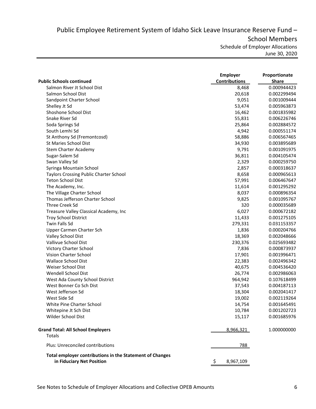Public Employee Retirement System of Idaho Sick Leave Insurance Reserve Fund – School Members Schedule of Employer Allocations June 30, 2020

|                                                                                       | <b>Employer</b>      | Proportionate |
|---------------------------------------------------------------------------------------|----------------------|---------------|
| <b>Public Schools continued</b>                                                       | <b>Contributions</b> | <b>Share</b>  |
| Salmon River Jt School Dist                                                           | 8,468                | 0.000944423   |
| Salmon School Dist                                                                    | 20,618               | 0.002299494   |
| Sandpoint Charter School                                                              | 9,051                | 0.001009444   |
| Shelley Jt Sd                                                                         | 53,474               | 0.005963873   |
| Shoshone School Dist                                                                  | 16,462               | 0.001835982   |
| Snake River Sd                                                                        | 55,831               | 0.006226746   |
| Soda Springs Sd                                                                       | 25,864               | 0.002884572   |
| South Lemhi Sd                                                                        | 4,942                | 0.000551174   |
| St Anthony Sd (Fremontcosd)                                                           | 58,886               | 0.006567465   |
| St Maries School Dist                                                                 | 34,930               | 0.003895689   |
| Stem Charter Academy                                                                  | 9,791                | 0.001091975   |
| Sugar-Salem Sd                                                                        | 36,811               | 0.004105474   |
| Swan Valley Sd                                                                        | 2,329                | 0.000259750   |
| Syringa Mountain School                                                               | 2,857                | 0.000318637   |
| Taylors Crossing Public Charter School                                                | 8,658                | 0.000965613   |
| <b>Teton School Dist</b>                                                              | 57,991               | 0.006467647   |
| The Academy, Inc.                                                                     | 11,614               | 0.001295292   |
| The Village Charter School                                                            | 8,037                | 0.000896354   |
| Thomas Jefferson Charter School                                                       | 9,825                | 0.001095767   |
| Three Creek Sd                                                                        | 320                  | 0.000035689   |
| Treasure Valley Classical Academy, Inc                                                | 6,027                | 0.000672182   |
| <b>Troy School District</b>                                                           | 11,433               | 0.001275105   |
| <b>Twin Falls Sd</b>                                                                  | 279,331              | 0.031153357   |
| Upper Carmen Charter Sch                                                              | 1,836                | 0.000204766   |
| Valley School Dist                                                                    | 18,369               | 0.002048666   |
| Vallivue School Dist                                                                  | 230,376              | 0.025693482   |
| Victory Charter School                                                                | 7,836                | 0.000873937   |
| Vision Charter School                                                                 |                      |               |
|                                                                                       | 17,901               | 0.001996471   |
| <b>Wallace School Dist</b>                                                            | 22,383               | 0.002496342   |
| Weiser School Dist                                                                    | 40,675               | 0.004536420   |
| Wendell School Dist                                                                   | 26,774               | 0.002986063   |
| West Ada County School District                                                       | 964,942              | 0.107618499   |
| West Bonner Co Sch Dist                                                               | 37,543               | 0.004187113   |
| West Jefferson Sd                                                                     | 18,304               | 0.002041417   |
| West Side Sd                                                                          | 19,002               | 0.002119264   |
| White Pine Charter School                                                             | 14,754               | 0.001645491   |
| Whitepine Jt Sch Dist                                                                 | 10,784               | 0.001202723   |
| Wilder School Dist                                                                    | 15,117               | 0.001685976   |
| <b>Grand Total: All School Employers</b><br>Totals                                    | 8,966,321            | 1.000000000   |
| Plus: Unreconciled contributions                                                      | 788                  |               |
| Total employer contributions in the Statement of Changes<br>in Fiduciary Net Position | \$<br>8,967,109      |               |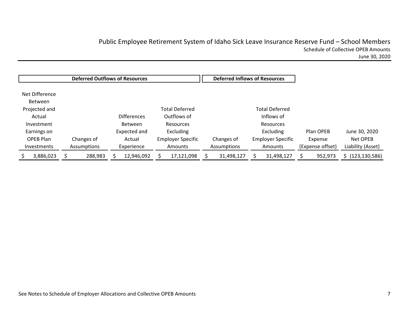# Public Employee Retirement System of Idaho Sick Leave Insurance Reserve Fund – School Members Schedule of Collective OPEB Amounts June 30, 2020

Net Difference Between Projected and Actual Investment Earnings on OPEB Plan Investments Changes of Assumptions Differences Between Expected and Actual Experience Total Deferred Outflows of Resources Excluding Employer Specific Amounts Changes of Assumptions Total Deferred Inflows of Resources Excluding Employer Specific Amounts Plan OPEB Expense (Expense offset) June 30, 2020 Net OPEB Liability (Asset) \$ 288,983 3,886,023 \$ 12,946,092 \$ 17,121,098 \$ 31,498,127 \$ 31,498,127 \$ 952,973 \$ (123,130,586) \$ **Deferred Outflows of Resources Deferred Inflows of Resources**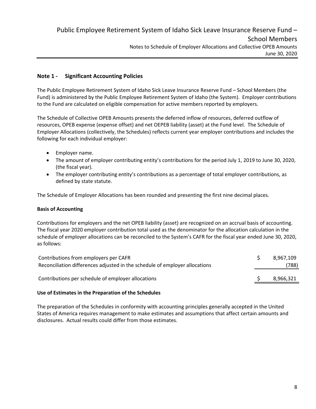# **Note 1 ‐ Significant Accounting Policies**

The Public Employee Retirement System of Idaho Sick Leave Insurance Reserve Fund – School Members (the Fund) is administered by the Public Employee Retirement System of Idaho (the System). Employer contributions to the Fund are calculated on eligible compensation for active members reported by employers.

The Schedule of Collective OPEB Amounts presents the deferred inflow of resources, deferred outflow of resources, OPEB expense (expense offset) and net OEPEB liability (asset) at the Fund level. The Schedule of Employer Allocations (collectively, the Schedules) reflects current year employer contributions and includes the following for each individual employer:

- **•** Employer name.
- The amount of employer contributing entity's contributions for the period July 1, 2019 to June 30, 2020, (the fiscal year).
- The employer contributing entity's contributions as a percentage of total employer contributions, as defined by state statute.

The Schedule of Employer Allocations has been rounded and presenting the first nine decimal places.

#### **Basis of Accounting**

Contributions for employers and the net OPEB liability (asset) are recognized on an accrual basis of accounting. The fiscal year 2020 employer contribution total used as the denominator for the allocation calculation in the schedule of employer allocations can be reconciled to the System's CAFR for the fiscal year ended June 30, 2020, as follows:

| Contributions from employers per CAFR                                       | 8.967.109 |
|-----------------------------------------------------------------------------|-----------|
| Reconciliation differences adjusted in the schedule of employer allocations | (788)     |
| Contributions per schedule of employer allocations                          | 8,966,321 |
|                                                                             |           |

#### **Use of Estimates in the Preparation of the Schedules**

The preparation of the Schedules in conformity with accounting principles generally accepted in the United States of America requires management to make estimates and assumptions that affect certain amounts and disclosures. Actual results could differ from those estimates.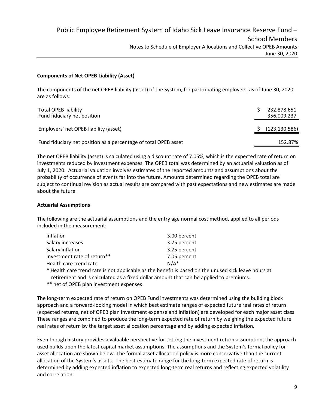## **Components of Net OPEB Liability (Asset)**

The components of the net OPEB liability (asset) of the System, for participating employers, as of June 30, 2020, are as follows:

| <b>Total OPEB liability</b><br>Fund fiduciary net position      | 232,878,651<br>356,009,237 |
|-----------------------------------------------------------------|----------------------------|
| Employers' net OPEB liability (asset)                           | (123, 130, 586)            |
| Fund fiduciary net position as a percentage of total OPEB asset | 152.87%                    |

The net OPEB liability (asset) is calculated using a discount rate of 7.05%, which is the expected rate of return on investments reduced by investment expenses. The OPEB total was determined by an actuarial valuation as of July 1, 2020. Actuarial valuation involves estimates of the reported amounts and assumptions about the probability of occurrence of events far into the future. Amounts determined regarding the OPEB total are subject to continual revision as actual results are compared with past expectations and new estimates are made about the future.

## **Actuarial Assumptions**

The following are the actuarial assumptions and the entry age normal cost method, applied to all periods included in the measurement:

| Inflation                   | 3.00 percent |
|-----------------------------|--------------|
| Salary increases            | 3.75 percent |
| Salary inflation            | 3.75 percent |
| Investment rate of return** | 7.05 percent |
| Health care trend rate      | $N/A^*$      |

\* Health care trend rate is not applicable as the benefit is based on the unused sick leave hours at retirement and is calculated as a fixed dollar amount that can be applied to premiums.

\*\* net of OPEB plan investment expenses

The long‐term expected rate of return on OPEB Fund investments was determined using the building block approach and a forward‐looking model in which best estimate ranges of expected future real rates of return (expected returns, net of OPEB plan investment expense and inflation) are developed for each major asset class. These ranges are combined to produce the long‐term expected rate of return by weighing the expected future real rates of return by the target asset allocation percentage and by adding expected inflation.

Even though history provides a valuable perspective for setting the investment return assumption, the approach used builds upon the latest capital market assumptions. The assumptions and the System's formal policy for asset allocation are shown below. The formal asset allocation policy is more conservative than the current allocation of the System's assets. The best-estimate range for the long-term expected rate of return is determined by adding expected inflation to expected long‐term real returns and reflecting expected volatility and correlation.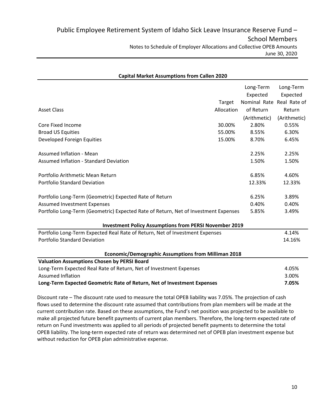| <b>Capital Market Assumptions from Callen 2020</b>                                  |            |                           |              |  |  |
|-------------------------------------------------------------------------------------|------------|---------------------------|--------------|--|--|
|                                                                                     |            | Long-Term                 | Long-Term    |  |  |
|                                                                                     |            | Expected                  | Expected     |  |  |
|                                                                                     | Target     | Nominal Rate Real Rate of |              |  |  |
| <b>Asset Class</b>                                                                  | Allocation | of Return                 | Return       |  |  |
|                                                                                     |            | (Arithmetic)              | (Arithmetic) |  |  |
| Core Fixed Income                                                                   | 30.00%     | 2.80%                     | 0.55%        |  |  |
| <b>Broad US Equities</b>                                                            | 55.00%     | 8.55%                     | 6.30%        |  |  |
| Developed Foreign Equities                                                          | 15.00%     | 8.70%                     | 6.45%        |  |  |
| <b>Assumed Inflation - Mean</b>                                                     |            | 2.25%                     | 2.25%        |  |  |
| <b>Assumed Inflation - Standard Deviation</b>                                       |            | 1.50%                     | 1.50%        |  |  |
| Portfolio Arithmetic Mean Return                                                    |            | 6.85%                     | 4.60%        |  |  |
| <b>Portfolio Standard Deviation</b>                                                 |            | 12.33%                    | 12.33%       |  |  |
| Portfolio Long-Term (Geometric) Expected Rate of Return                             |            | 6.25%                     | 3.89%        |  |  |
| <b>Assumed Investment Expenses</b>                                                  |            | 0.40%                     | 0.40%        |  |  |
| Portfolio Long-Term (Geometric) Expected Rate of Return, Net of Investment Expenses |            | 5.85%                     | 3.49%        |  |  |
| <b>Investment Policy Assumptions from PERSI November 2019</b>                       |            |                           |              |  |  |
| Portfolio Long-Term Expected Real Rate of Return, Net of Investment Expenses        |            |                           | 4.14%        |  |  |
| <b>Portfolio Standard Deviation</b>                                                 |            |                           | 14.16%       |  |  |
| <b>Economic/Demographic Assumptions from Milliman 2018</b>                          |            |                           |              |  |  |
| <b>Valuation Assumptions Chosen by PERSI Board</b>                                  |            |                           |              |  |  |
| Long-Term Expected Real Rate of Return, Net of Investment Expenses                  |            |                           | 4.05%        |  |  |
| <b>Assumed Inflation</b>                                                            |            |                           | 3.00%        |  |  |
| Long-Term Expected Geometric Rate of Return, Net of Investment Expenses             |            |                           | 7.05%        |  |  |

# Discount rate – The discount rate used to measure the total OPEB liability was 7.05%. The projection of cash flows used to determine the discount rate assumed that contributions from plan members will be made at the current contribution rate. Based on these assumptions, the Fund's net position was projected to be available to make all projected future benefit payments of current plan members. Therefore, the long-term expected rate of return on Fund investments was applied to all periods of projected benefit payments to determine the total OPEB liability. The long‐term expected rate of return was determined net of OPEB plan investment expense but without reduction for OPEB plan administrative expense.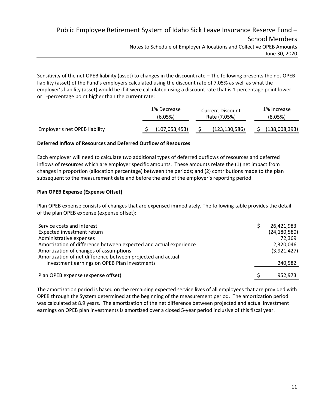# Public Employee Retirement System of Idaho Sick Leave Insurance Reserve Fund – School Members Notes to Schedule of Employer Allocations and Collective OPEB Amounts June 30, 2020

Sensitivity of the net OPEB liability (asset) to changes in the discount rate – The following presents the net OPEB liability (asset) of the Fund's employers calculated using the discount rate of 7.05% as well as what the employer's liability (asset) would be if it were calculated using a discount rate that is 1‐percentage point lower or 1‐percentage point higher than the current rate:

|                               | 1% Decrease<br>(6.05%) | <b>Current Discount</b><br>Rate (7.05%) |                 | 1% Increase<br>(8.05%) |
|-------------------------------|------------------------|-----------------------------------------|-----------------|------------------------|
| Employer's net OPEB liability | (107, 053, 453)        |                                         | (123, 130, 586) | (138,008,393)          |

# **Deferred Inflow of Resources and Deferred Outflow of Resources**

Each employer will need to calculate two additional types of deferred outflows of resources and deferred inflows of resources which are employer specific amounts. These amounts relate the (1) net impact from changes in proportion (allocation percentage) between the periods; and (2) contributions made to the plan subsequent to the measurement date and before the end of the employer's reporting period.

# **Plan OPEB Expense (Expense Offset)**

Plan OPEB expense consists of changes that are expensed immediately. The following table provides the detail of the plan OPEB expense (expense offset):

| Service costs and interest<br>Expected investment return<br>Administrative expenses                                                                                        | 26,421,983<br>(24, 180, 580)<br>72.369 |
|----------------------------------------------------------------------------------------------------------------------------------------------------------------------------|----------------------------------------|
| Amortization of difference between expected and actual experience<br>Amortization of changes of assumptions<br>Amortization of net difference between projected and actual | 2,320,046<br>(3,921,427)               |
| investment earnings on OPEB Plan investments                                                                                                                               | 240,582                                |
| Plan OPEB expense (expense offset)                                                                                                                                         | 952,973                                |

The amortization period is based on the remaining expected service lives of all employees that are provided with OPEB through the System determined at the beginning of the measurement period. The amortization period was calculated at 8.9 years. The amortization of the net difference between projected and actual investment earnings on OPEB plan investments is amortized over a closed 5-year period inclusive of this fiscal year.